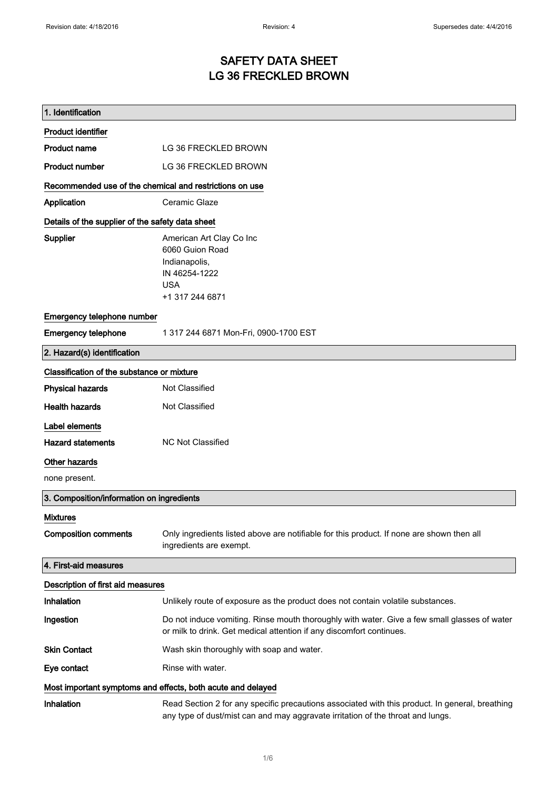# SAFETY DATA SHEET LG 36 FRECKLED BROWN

| 1. Identification                                           |                                                                                                                                                                                    |
|-------------------------------------------------------------|------------------------------------------------------------------------------------------------------------------------------------------------------------------------------------|
| <b>Product identifier</b>                                   |                                                                                                                                                                                    |
| <b>Product name</b>                                         | LG 36 FRECKLED BROWN                                                                                                                                                               |
| <b>Product number</b>                                       | LG 36 FRECKLED BROWN                                                                                                                                                               |
| Recommended use of the chemical and restrictions on use     |                                                                                                                                                                                    |
| Application                                                 | Ceramic Glaze                                                                                                                                                                      |
| Details of the supplier of the safety data sheet            |                                                                                                                                                                                    |
| <b>Supplier</b>                                             | American Art Clay Co Inc<br>6060 Guion Road<br>Indianapolis,<br>IN 46254-1222<br><b>USA</b><br>+1 317 244 6871                                                                     |
| Emergency telephone number                                  |                                                                                                                                                                                    |
| <b>Emergency telephone</b>                                  | 1 317 244 6871 Mon-Fri, 0900-1700 EST                                                                                                                                              |
| 2. Hazard(s) identification                                 |                                                                                                                                                                                    |
| Classification of the substance or mixture                  |                                                                                                                                                                                    |
| <b>Physical hazards</b>                                     | Not Classified                                                                                                                                                                     |
| <b>Health hazards</b>                                       | Not Classified                                                                                                                                                                     |
| Label elements                                              |                                                                                                                                                                                    |
| <b>Hazard statements</b>                                    | <b>NC Not Classified</b>                                                                                                                                                           |
| Other hazards                                               |                                                                                                                                                                                    |
| none present.                                               |                                                                                                                                                                                    |
| 3. Composition/information on ingredients                   |                                                                                                                                                                                    |
| <b>Mixtures</b>                                             |                                                                                                                                                                                    |
| <b>Composition comments</b>                                 | Only ingredients listed above are notifiable for this product. If none are shown then all<br>ingredients are exempt.                                                               |
| 4. First-aid measures                                       |                                                                                                                                                                                    |
| Description of first aid measures                           |                                                                                                                                                                                    |
| Inhalation                                                  | Unlikely route of exposure as the product does not contain volatile substances.                                                                                                    |
| Ingestion                                                   | Do not induce vomiting. Rinse mouth thoroughly with water. Give a few small glasses of water<br>or milk to drink. Get medical attention if any discomfort continues.               |
| <b>Skin Contact</b>                                         | Wash skin thoroughly with soap and water.                                                                                                                                          |
| Eye contact                                                 | Rinse with water.                                                                                                                                                                  |
| Most important symptoms and effects, both acute and delayed |                                                                                                                                                                                    |
| Inhalation                                                  | Read Section 2 for any specific precautions associated with this product. In general, breathing<br>any type of dust/mist can and may aggravate irritation of the throat and lungs. |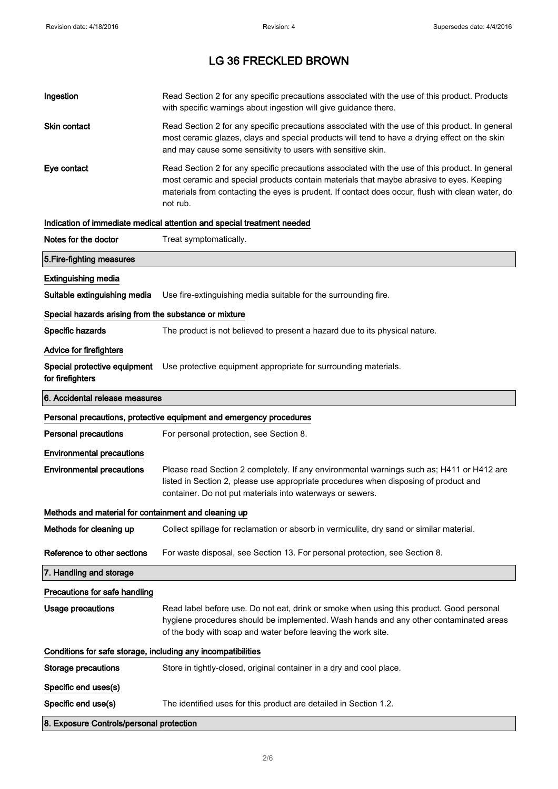| Ingestion                                                    | Read Section 2 for any specific precautions associated with the use of this product. Products<br>with specific warnings about ingestion will give guidance there.                                                                                                                                           |  |
|--------------------------------------------------------------|-------------------------------------------------------------------------------------------------------------------------------------------------------------------------------------------------------------------------------------------------------------------------------------------------------------|--|
| Skin contact                                                 | Read Section 2 for any specific precautions associated with the use of this product. In general<br>most ceramic glazes, clays and special products will tend to have a drying effect on the skin<br>and may cause some sensitivity to users with sensitive skin.                                            |  |
| Eye contact                                                  | Read Section 2 for any specific precautions associated with the use of this product. In general<br>most ceramic and special products contain materials that maybe abrasive to eyes. Keeping<br>materials from contacting the eyes is prudent. If contact does occur, flush with clean water, do<br>not rub. |  |
|                                                              | Indication of immediate medical attention and special treatment needed                                                                                                                                                                                                                                      |  |
| Notes for the doctor                                         | Treat symptomatically.                                                                                                                                                                                                                                                                                      |  |
| 5. Fire-fighting measures                                    |                                                                                                                                                                                                                                                                                                             |  |
| <b>Extinguishing media</b>                                   |                                                                                                                                                                                                                                                                                                             |  |
| Suitable extinguishing media                                 | Use fire-extinguishing media suitable for the surrounding fire.                                                                                                                                                                                                                                             |  |
| Special hazards arising from the substance or mixture        |                                                                                                                                                                                                                                                                                                             |  |
| Specific hazards                                             | The product is not believed to present a hazard due to its physical nature.                                                                                                                                                                                                                                 |  |
| <b>Advice for firefighters</b>                               |                                                                                                                                                                                                                                                                                                             |  |
| for firefighters                                             | Special protective equipment Use protective equipment appropriate for surrounding materials.                                                                                                                                                                                                                |  |
| 6. Accidental release measures                               |                                                                                                                                                                                                                                                                                                             |  |
|                                                              | Personal precautions, protective equipment and emergency procedures                                                                                                                                                                                                                                         |  |
| <b>Personal precautions</b>                                  | For personal protection, see Section 8.                                                                                                                                                                                                                                                                     |  |
| <b>Environmental precautions</b>                             |                                                                                                                                                                                                                                                                                                             |  |
| <b>Environmental precautions</b>                             | Please read Section 2 completely. If any environmental warnings such as; H411 or H412 are<br>listed in Section 2, please use appropriate procedures when disposing of product and<br>container. Do not put materials into waterways or sewers.                                                              |  |
| Methods and material for containment and cleaning up         |                                                                                                                                                                                                                                                                                                             |  |
| Methods for cleaning up                                      | Collect spillage for reclamation or absorb in vermiculite, dry sand or similar material.                                                                                                                                                                                                                    |  |
| Reference to other sections                                  | For waste disposal, see Section 13. For personal protection, see Section 8.                                                                                                                                                                                                                                 |  |
| 7. Handling and storage                                      |                                                                                                                                                                                                                                                                                                             |  |
| Precautions for safe handling                                |                                                                                                                                                                                                                                                                                                             |  |
| <b>Usage precautions</b>                                     | Read label before use. Do not eat, drink or smoke when using this product. Good personal<br>hygiene procedures should be implemented. Wash hands and any other contaminated areas<br>of the body with soap and water before leaving the work site.                                                          |  |
| Conditions for safe storage, including any incompatibilities |                                                                                                                                                                                                                                                                                                             |  |
| <b>Storage precautions</b>                                   | Store in tightly-closed, original container in a dry and cool place.                                                                                                                                                                                                                                        |  |
| Specific end uses(s)                                         |                                                                                                                                                                                                                                                                                                             |  |
|                                                              |                                                                                                                                                                                                                                                                                                             |  |
| Specific end use(s)                                          | The identified uses for this product are detailed in Section 1.2.                                                                                                                                                                                                                                           |  |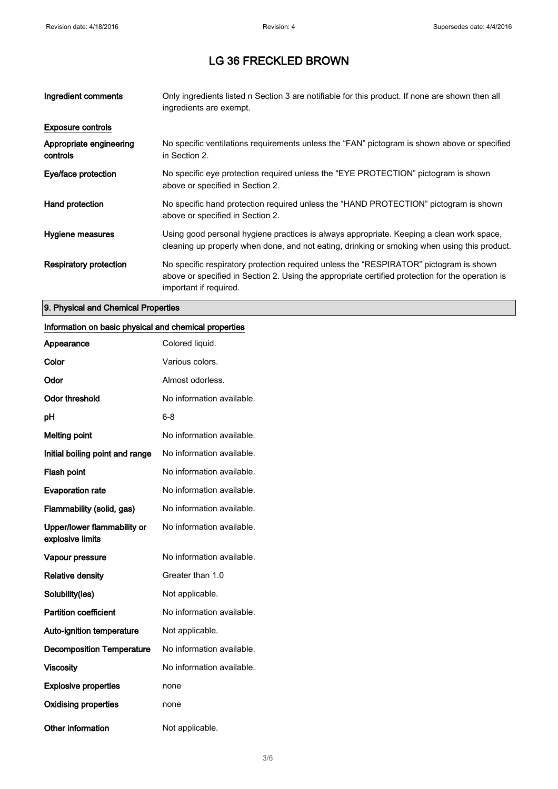| Ingredient comments                 | Only ingredients listed n Section 3 are notifiable for this product. If none are shown then all<br>ingredients are exempt.                                                                                           |
|-------------------------------------|----------------------------------------------------------------------------------------------------------------------------------------------------------------------------------------------------------------------|
| <b>Exposure controls</b>            |                                                                                                                                                                                                                      |
| Appropriate engineering<br>controls | No specific ventilations requirements unless the "FAN" pictogram is shown above or specified<br>in Section 2.                                                                                                        |
| Eye/face protection                 | No specific eye protection required unless the "EYE PROTECTION" pictogram is shown<br>above or specified in Section 2.                                                                                               |
| Hand protection                     | No specific hand protection required unless the "HAND PROTECTION" pictogram is shown<br>above or specified in Section 2.                                                                                             |
| Hygiene measures                    | Using good personal hygiene practices is always appropriate. Keeping a clean work space,<br>cleaning up properly when done, and not eating, drinking or smoking when using this product.                             |
| Respiratory protection              | No specific respiratory protection required unless the "RESPIRATOR" pictogram is shown<br>above or specified in Section 2. Using the appropriate certified protection for the operation is<br>important if required. |

## 9. Physical and Chemical Properties

### Information on basic physical and chemical properties

| Appearance                                      | Colored liquid.           |
|-------------------------------------------------|---------------------------|
| Color                                           | Various colors.           |
| Odor                                            | Almost odorless.          |
| <b>Odor threshold</b>                           | No information available. |
| рH                                              | 6-8                       |
| <b>Melting point</b>                            | No information available. |
| Initial boiling point and range                 | No information available. |
| Flash point                                     | No information available. |
| <b>Evaporation rate</b>                         | No information available. |
| Flammability (solid, gas)                       | No information available. |
| Upper/lower flammability or<br>explosive limits | No information available. |
| Vapour pressure                                 | No information available. |
| <b>Relative density</b>                         | Greater than 1.0          |
| Solubility(ies)                                 | Not applicable.           |
| <b>Partition coefficient</b>                    | No information available. |
| <b>Auto-ignition temperature</b>                | Not applicable.           |
| <b>Decomposition Temperature</b>                | No information available. |
| <b>Viscosity</b>                                | No information available. |
| <b>Explosive properties</b>                     | none                      |
| <b>Oxidising properties</b>                     | none                      |
| <b>Other information</b>                        | Not applicable.           |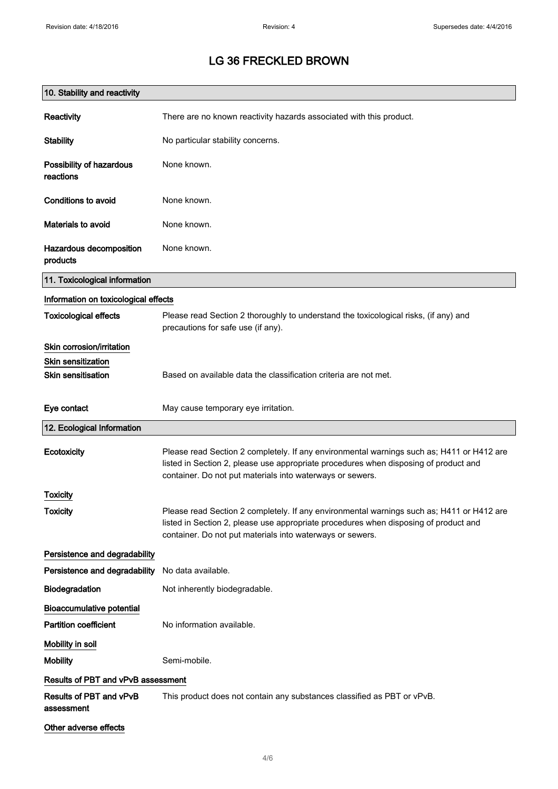| 10. Stability and reactivity          |                                                                                                                                                                                                                                                |
|---------------------------------------|------------------------------------------------------------------------------------------------------------------------------------------------------------------------------------------------------------------------------------------------|
| Reactivity                            | There are no known reactivity hazards associated with this product.                                                                                                                                                                            |
| <b>Stability</b>                      | No particular stability concerns.                                                                                                                                                                                                              |
| Possibility of hazardous<br>reactions | None known.                                                                                                                                                                                                                                    |
| Conditions to avoid                   | None known.                                                                                                                                                                                                                                    |
| Materials to avoid                    | None known.                                                                                                                                                                                                                                    |
| Hazardous decomposition<br>products   | None known.                                                                                                                                                                                                                                    |
| 11. Toxicological information         |                                                                                                                                                                                                                                                |
| Information on toxicological effects  |                                                                                                                                                                                                                                                |
| <b>Toxicological effects</b>          | Please read Section 2 thoroughly to understand the toxicological risks, (if any) and<br>precautions for safe use (if any).                                                                                                                     |
| Skin corrosion/irritation             |                                                                                                                                                                                                                                                |
| <b>Skin sensitization</b>             |                                                                                                                                                                                                                                                |
| <b>Skin sensitisation</b>             | Based on available data the classification criteria are not met.                                                                                                                                                                               |
| Eye contact                           | May cause temporary eye irritation.                                                                                                                                                                                                            |
| 12. Ecological Information            |                                                                                                                                                                                                                                                |
| Ecotoxicity                           | Please read Section 2 completely. If any environmental warnings such as; H411 or H412 are<br>listed in Section 2, please use appropriate procedures when disposing of product and<br>container. Do not put materials into waterways or sewers. |
| <b>Toxicity</b>                       |                                                                                                                                                                                                                                                |
| <b>Toxicity</b>                       | Please read Section 2 completely. If any environmental warnings such as; H411 or H412 are<br>listed in Section 2, please use appropriate procedures when disposing of product and<br>container. Do not put materials into waterways or sewers. |
| Persistence and degradability         |                                                                                                                                                                                                                                                |
| Persistence and degradability         | No data available.                                                                                                                                                                                                                             |
| Biodegradation                        | Not inherently biodegradable.                                                                                                                                                                                                                  |
| <b>Bioaccumulative potential</b>      |                                                                                                                                                                                                                                                |
| <b>Partition coefficient</b>          | No information available.                                                                                                                                                                                                                      |
| Mobility in soil                      |                                                                                                                                                                                                                                                |
| <b>Mobility</b>                       | Semi-mobile.                                                                                                                                                                                                                                   |
| Results of PBT and vPvB assessment    |                                                                                                                                                                                                                                                |
| Results of PBT and vPvB<br>assessment | This product does not contain any substances classified as PBT or vPvB.                                                                                                                                                                        |
| Other adverse effects                 |                                                                                                                                                                                                                                                |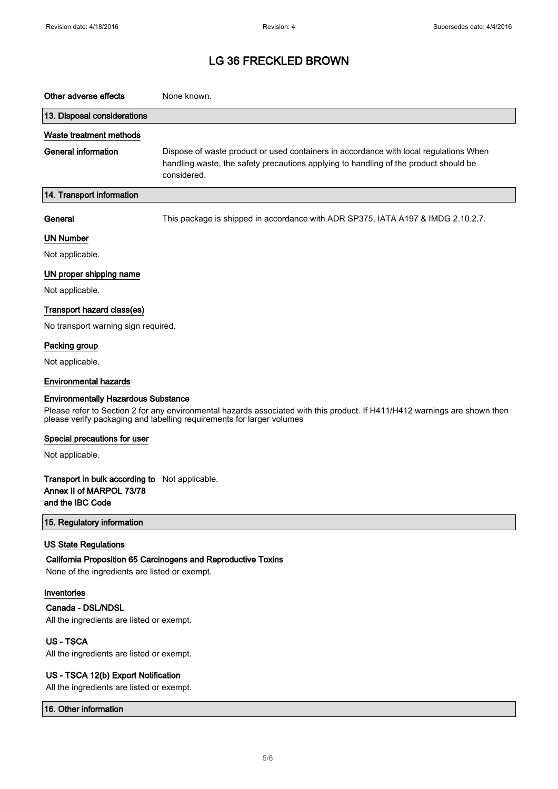| Other adverse effects       | None known.                                                                                                                                                                                  |
|-----------------------------|----------------------------------------------------------------------------------------------------------------------------------------------------------------------------------------------|
| 13. Disposal considerations |                                                                                                                                                                                              |
| Waste treatment methods     |                                                                                                                                                                                              |
| General information         | Dispose of waste product or used containers in accordance with local regulations When<br>handling waste, the safety precautions applying to handling of the product should be<br>considered. |
| 14. Transport information   |                                                                                                                                                                                              |

General This package is shipped in accordance with ADR SP375, IATA A197 & IMDG 2.10.2.7.

#### UN Number

Not applicable.

#### UN proper shipping name

Not applicable.

#### Transport hazard class(es)

No transport warning sign required.

#### Packing group

Not applicable.

#### Environmental hazards

#### Environmentally Hazardous Substance

Please refer to Section 2 for any environmental hazards associated with this product. If H411/H412 warnings are shown then please verify packaging and labelling requirements for larger volumes

#### Special precautions for user

Not applicable.

#### Transport in bulk according to Not applicable. Annex II of MARPOL 73/78 and the IBC Code

15. Regulatory information

#### US State Regulations

#### California Proposition 65 Carcinogens and Reproductive Toxins

None of the ingredients are listed or exempt.

#### Inventories

#### Canada - DSL/NDSL

All the ingredients are listed or exempt.

### US - TSCA

All the ingredients are listed or exempt.

#### US - TSCA 12(b) Export Notification

All the ingredients are listed or exempt.

#### 16. Other information